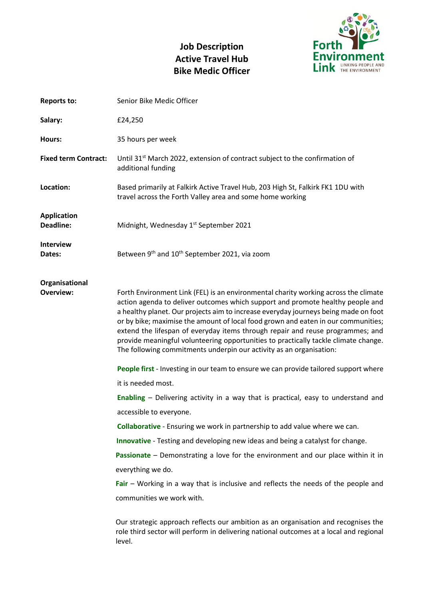# **Job Description Active Travel Hub Bike Medic Officer**



| <b>Reports to:</b>                     | Senior Bike Medic Officer                                                                                                                                                                                                                                                                                                                                                                                                                                                                                                                                                                         |
|----------------------------------------|---------------------------------------------------------------------------------------------------------------------------------------------------------------------------------------------------------------------------------------------------------------------------------------------------------------------------------------------------------------------------------------------------------------------------------------------------------------------------------------------------------------------------------------------------------------------------------------------------|
| Salary:                                | £24,250                                                                                                                                                                                                                                                                                                                                                                                                                                                                                                                                                                                           |
| Hours:                                 | 35 hours per week                                                                                                                                                                                                                                                                                                                                                                                                                                                                                                                                                                                 |
| <b>Fixed term Contract:</b>            | Until 31 <sup>st</sup> March 2022, extension of contract subject to the confirmation of<br>additional funding                                                                                                                                                                                                                                                                                                                                                                                                                                                                                     |
| Location:                              | Based primarily at Falkirk Active Travel Hub, 203 High St, Falkirk FK1 1DU with<br>travel across the Forth Valley area and some home working                                                                                                                                                                                                                                                                                                                                                                                                                                                      |
| <b>Application</b><br><b>Deadline:</b> | Midnight, Wednesday 1st September 2021                                                                                                                                                                                                                                                                                                                                                                                                                                                                                                                                                            |
| <b>Interview</b><br>Dates:             | Between 9th and 10 <sup>th</sup> September 2021, via zoom                                                                                                                                                                                                                                                                                                                                                                                                                                                                                                                                         |
| Organisational                         |                                                                                                                                                                                                                                                                                                                                                                                                                                                                                                                                                                                                   |
| <b>Overview:</b>                       | Forth Environment Link (FEL) is an environmental charity working across the climate<br>action agenda to deliver outcomes which support and promote healthy people and<br>a healthy planet. Our projects aim to increase everyday journeys being made on foot<br>or by bike; maximise the amount of local food grown and eaten in our communities;<br>extend the lifespan of everyday items through repair and reuse programmes; and<br>provide meaningful volunteering opportunities to practically tackle climate change.<br>The following commitments underpin our activity as an organisation: |
|                                        | People first - Investing in our team to ensure we can provide tailored support where                                                                                                                                                                                                                                                                                                                                                                                                                                                                                                              |
|                                        | it is needed most.                                                                                                                                                                                                                                                                                                                                                                                                                                                                                                                                                                                |
|                                        | <b>Enabling</b> – Delivering activity in a way that is practical, easy to understand and                                                                                                                                                                                                                                                                                                                                                                                                                                                                                                          |
|                                        | accessible to everyone.                                                                                                                                                                                                                                                                                                                                                                                                                                                                                                                                                                           |
|                                        | Collaborative - Ensuring we work in partnership to add value where we can.                                                                                                                                                                                                                                                                                                                                                                                                                                                                                                                        |
|                                        | <b>Innovative</b> - Testing and developing new ideas and being a catalyst for change.                                                                                                                                                                                                                                                                                                                                                                                                                                                                                                             |
|                                        | Passionate - Demonstrating a love for the environment and our place within it in                                                                                                                                                                                                                                                                                                                                                                                                                                                                                                                  |
|                                        | everything we do.                                                                                                                                                                                                                                                                                                                                                                                                                                                                                                                                                                                 |
|                                        | Fair – Working in a way that is inclusive and reflects the needs of the people and                                                                                                                                                                                                                                                                                                                                                                                                                                                                                                                |
|                                        | communities we work with.                                                                                                                                                                                                                                                                                                                                                                                                                                                                                                                                                                         |
|                                        | Our strategic approach reflects our ambition as an organisation and recognises the<br>role third sector will perform in delivering national outcomes at a local and regional<br>level.                                                                                                                                                                                                                                                                                                                                                                                                            |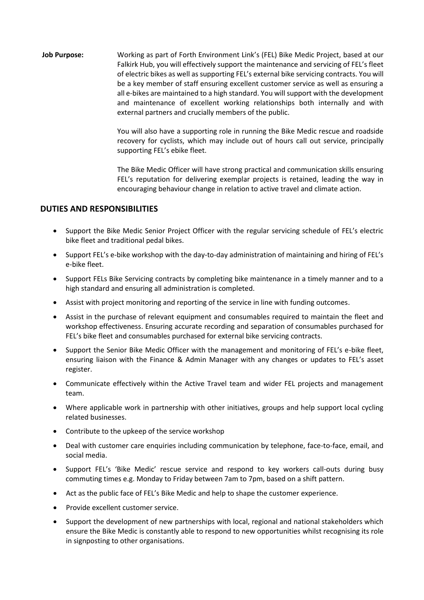**Job Purpose:** Working as part of Forth Environment Link's (FEL) Bike Medic Project, based at our Falkirk Hub, you will effectively support the maintenance and servicing of FEL's fleet of electric bikes as well as supporting FEL's external bike servicing contracts. You will be a key member of staff ensuring excellent customer service as well as ensuring a all e-bikes are maintained to a high standard. You will support with the development and maintenance of excellent working relationships both internally and with external partners and crucially members of the public.

> You will also have a supporting role in running the Bike Medic rescue and roadside recovery for cyclists, which may include out of hours call out service, principally supporting FEL's ebike fleet.

> The Bike Medic Officer will have strong practical and communication skills ensuring FEL's reputation for delivering exemplar projects is retained, leading the way in encouraging behaviour change in relation to active travel and climate action.

#### **DUTIES AND RESPONSIBILITIES**

- Support the Bike Medic Senior Project Officer with the regular servicing schedule of FEL's electric bike fleet and traditional pedal bikes.
- Support FEL's e-bike workshop with the day-to-day administration of maintaining and hiring of FEL's e-bike fleet.
- Support FELs Bike Servicing contracts by completing bike maintenance in a timely manner and to a high standard and ensuring all administration is completed.
- Assist with project monitoring and reporting of the service in line with funding outcomes.
- Assist in the purchase of relevant equipment and consumables required to maintain the fleet and workshop effectiveness. Ensuring accurate recording and separation of consumables purchased for FEL's bike fleet and consumables purchased for external bike servicing contracts.
- Support the Senior Bike Medic Officer with the management and monitoring of FEL's e-bike fleet, ensuring liaison with the Finance & Admin Manager with any changes or updates to FEL's asset register.
- Communicate effectively within the Active Travel team and wider FEL projects and management team.
- Where applicable work in partnership with other initiatives, groups and help support local cycling related businesses.
- Contribute to the upkeep of the service workshop
- Deal with customer care enquiries including communication by telephone, face-to-face, email, and social media.
- Support FEL's 'Bike Medic' rescue service and respond to key workers call-outs during busy commuting times e.g. Monday to Friday between 7am to 7pm, based on a shift pattern.
- Act as the public face of FEL's Bike Medic and help to shape the customer experience.
- Provide excellent customer service.
- Support the development of new partnerships with local, regional and national stakeholders which ensure the Bike Medic is constantly able to respond to new opportunities whilst recognising its role in signposting to other organisations.